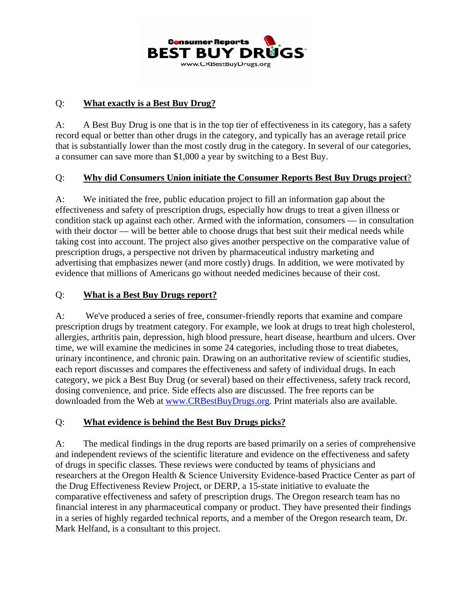

#### Q: **What exactly is a Best Buy Drug?**

A: A Best Buy Drug is one that is in the top tier of effectiveness in its category, has a safety record equal or better than other drugs in the category, and typically has an average retail price that is substantially lower than the most costly drug in the category. In several of our categories, a consumer can save more than \$1,000 a year by switching to a Best Buy.

#### Q: **Why did Consumers Union initiate the Consumer Reports Best Buy Drugs project**?

A: We initiated the free, public education project to fill an information gap about the effectiveness and safety of prescription drugs, especially how drugs to treat a given illness or condition stack up against each other. Armed with the information, consumers — in consultation with their doctor — will be better able to choose drugs that best suit their medical needs while taking cost into account. The project also gives another perspective on the comparative value of prescription drugs, a perspective not driven by pharmaceutical industry marketing and advertising that emphasizes newer (and more costly) drugs. In addition, we were motivated by evidence that millions of Americans go without needed medicines because of their cost.

#### Q: **What is a Best Buy Drugs report?**

A: We've produced a series of free, consumer-friendly reports that examine and compare prescription drugs by treatment category. For example, we look at drugs to treat high cholesterol, allergies, arthritis pain, depression, high blood pressure, heart disease, heartburn and ulcers. Over time, we will examine the medicines in some 24 categories, including those to treat diabetes, urinary incontinence, and chronic pain. Drawing on an authoritative review of scientific studies, each report discusses and compares the effectiveness and safety of individual drugs. In each category, we pick a Best Buy Drug (or several) based on their effectiveness, safety track record, dosing convenience, and price. Side effects also are discussed. The free reports can be downloaded from the Web at [www.CRBestBuyDrugs.org.](http://www.crbestbuydrugs.org/) Print materials also are available.

### Q: **What evidence is behind the Best Buy Drugs picks?**

A: The medical findings in the drug reports are based primarily on a series of comprehensive and independent reviews of the scientific literature and evidence on the effectiveness and safety of drugs in specific classes. These reviews were conducted by teams of physicians and researchers at the Oregon Health & Science University Evidence-based Practice Center as part of the Drug Effectiveness Review Project, or DERP, a 15-state initiative to evaluate the comparative effectiveness and safety of prescription drugs. The Oregon research team has no financial interest in any pharmaceutical company or product. They have presented their findings in a series of highly regarded technical reports, and a member of the Oregon research team, Dr. Mark Helfand, is a consultant to this project.